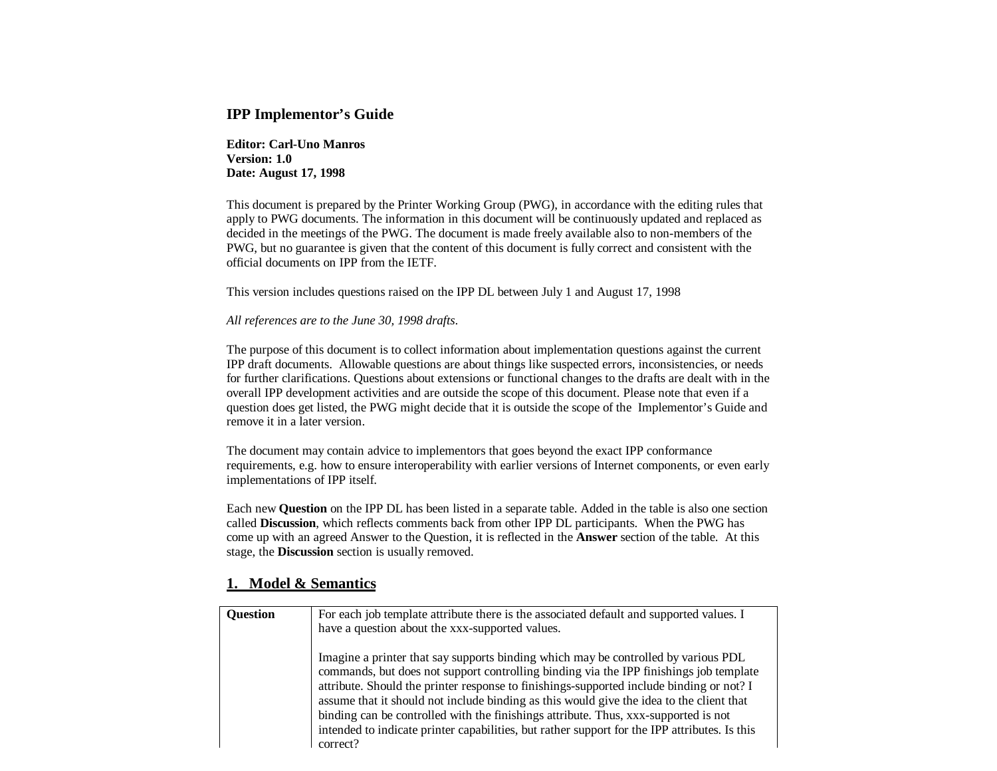### **IPP Implementor's Guide**

**Editor: Carl-Uno Manros Version: 1.0 Date: August 17, 1998**

This document is prepared by the Printer Working Group (PWG), in accordance with the editing rules that apply to PWG documents. The information in this document will be continuously updated and replaced as decided in the meetings of the PWG. The document is made freely available also to non-members of the PWG, but no guarantee is given that the content of this document is fully correct and consistent with the official documents on IPP from the IETF.

This version includes questions raised on the IPP DL between July 1 and August 17, 1998

#### *All references are to the June 30, 1998 drafts*.

The purpose of this document is to collect information about implementation questions against the current IPP draft documents. Allowable questions are about things like suspected errors, inconsistencies, or needs for further clarifications. Questions about extensions or functional changes to the drafts are dealt with in the overall IPP development activities and are outside the scope of this document. Please note that even if a question does get listed, the PWG might decide that it is outside the scope of the Implementor's Guide and remove it in a later version.

The document may contain advice to implementors that goes beyond the exact IPP conformance requirements, e.g. how to ensure interoperability with earlier versions of Internet components, or even early implementations of IPP itself.

Each new **Question** on the IPP DL has been listed in a separate table. Added in the table is also one section called **Discussion**, which reflects comments back from other IPP DL participants. When the PWG has come up with an agreed Answer to the Question, it is reflected in the **Answer** section of the table. At this stage, the **Discussion** section is usually removed.

## **1. Model & Semantics**

| <b>Question</b> | For each job template attribute there is the associated default and supported values. I<br>have a question about the xxx-supported values.                                                                                                                                                                                                                                                                                                                                                                                                                               |
|-----------------|--------------------------------------------------------------------------------------------------------------------------------------------------------------------------------------------------------------------------------------------------------------------------------------------------------------------------------------------------------------------------------------------------------------------------------------------------------------------------------------------------------------------------------------------------------------------------|
|                 | Imagine a printer that say supports binding which may be controlled by various PDL<br>commands, but does not support controlling binding via the IPP finishings job template<br>attribute. Should the printer response to finishings-supported include binding or not? I<br>assume that it should not include binding as this would give the idea to the client that<br>binding can be controlled with the finishings attribute. Thus, xxx-supported is not<br>intended to indicate printer capabilities, but rather support for the IPP attributes. Is this<br>correct? |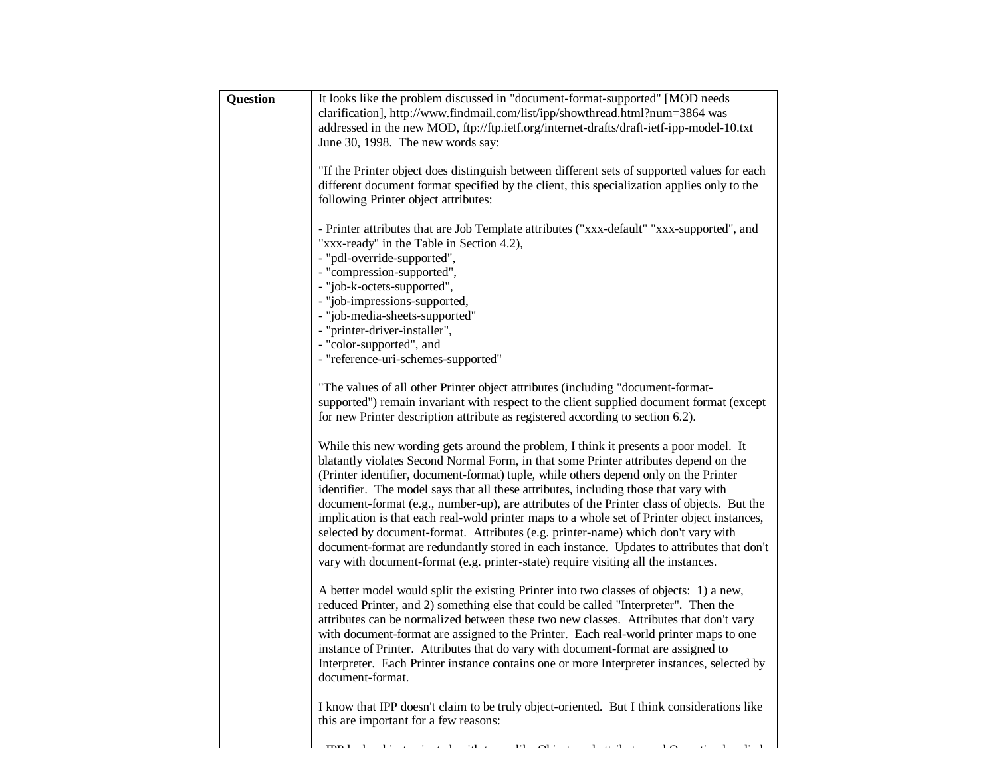| Question | It looks like the problem discussed in "document-format-supported" [MOD needs<br>clarification], http://www.findmail.com/list/ipp/showthread.html?num=3864 was<br>addressed in the new MOD, ftp://ftp.ietf.org/internet-drafts/draft-ietf-ipp-model-10.txt<br>June 30, 1998. The new words say:                                                                                                                                                                                                                                                                                                                                                                                                                                                                                                                                   |
|----------|-----------------------------------------------------------------------------------------------------------------------------------------------------------------------------------------------------------------------------------------------------------------------------------------------------------------------------------------------------------------------------------------------------------------------------------------------------------------------------------------------------------------------------------------------------------------------------------------------------------------------------------------------------------------------------------------------------------------------------------------------------------------------------------------------------------------------------------|
|          | "If the Printer object does distinguish between different sets of supported values for each<br>different document format specified by the client, this specialization applies only to the<br>following Printer object attributes:                                                                                                                                                                                                                                                                                                                                                                                                                                                                                                                                                                                                 |
|          | - Printer attributes that are Job Template attributes ("xxx-default" "xxx-supported", and<br>"xxx-ready" in the Table in Section 4.2),<br>- "pdl-override-supported",<br>- "compression-supported",<br>- "job-k-octets-supported",<br>- "job-impressions-supported,<br>- "job-media-sheets-supported"<br>- "printer-driver-installer",<br>- "color-supported", and<br>- "reference-uri-schemes-supported"                                                                                                                                                                                                                                                                                                                                                                                                                         |
|          | "The values of all other Printer object attributes (including "document-format-<br>supported") remain invariant with respect to the client supplied document format (except<br>for new Printer description attribute as registered according to section 6.2).                                                                                                                                                                                                                                                                                                                                                                                                                                                                                                                                                                     |
|          | While this new wording gets around the problem, I think it presents a poor model. It<br>blatantly violates Second Normal Form, in that some Printer attributes depend on the<br>(Printer identifier, document-format) tuple, while others depend only on the Printer<br>identifier. The model says that all these attributes, including those that vary with<br>document-format (e.g., number-up), are attributes of the Printer class of objects. But the<br>implication is that each real-wold printer maps to a whole set of Printer object instances,<br>selected by document-format. Attributes (e.g. printer-name) which don't vary with<br>document-format are redundantly stored in each instance. Updates to attributes that don't<br>vary with document-format (e.g. printer-state) require visiting all the instances. |
|          | A better model would split the existing Printer into two classes of objects: 1) a new,<br>reduced Printer, and 2) something else that could be called "Interpreter". Then the<br>attributes can be normalized between these two new classes. Attributes that don't vary<br>with document-format are assigned to the Printer. Each real-world printer maps to one<br>instance of Printer. Attributes that do vary with document-format are assigned to<br>Interpreter. Each Printer instance contains one or more Interpreter instances, selected by<br>document-format.                                                                                                                                                                                                                                                           |
|          | I know that IPP doesn't claim to be truly object-oriented. But I think considerations like<br>this are important for a few reasons:                                                                                                                                                                                                                                                                                                                                                                                                                                                                                                                                                                                                                                                                                               |
|          | $\cdot$<br>1.1<br>$\sim$ $\sim$<br>$\mathbf{r}_1\mathbf{q}_1\cdots\mathbf{q}_n$<br><b>Contract Contract Contract</b>                                                                                                                                                                                                                                                                                                                                                                                                                                                                                                                                                                                                                                                                                                              |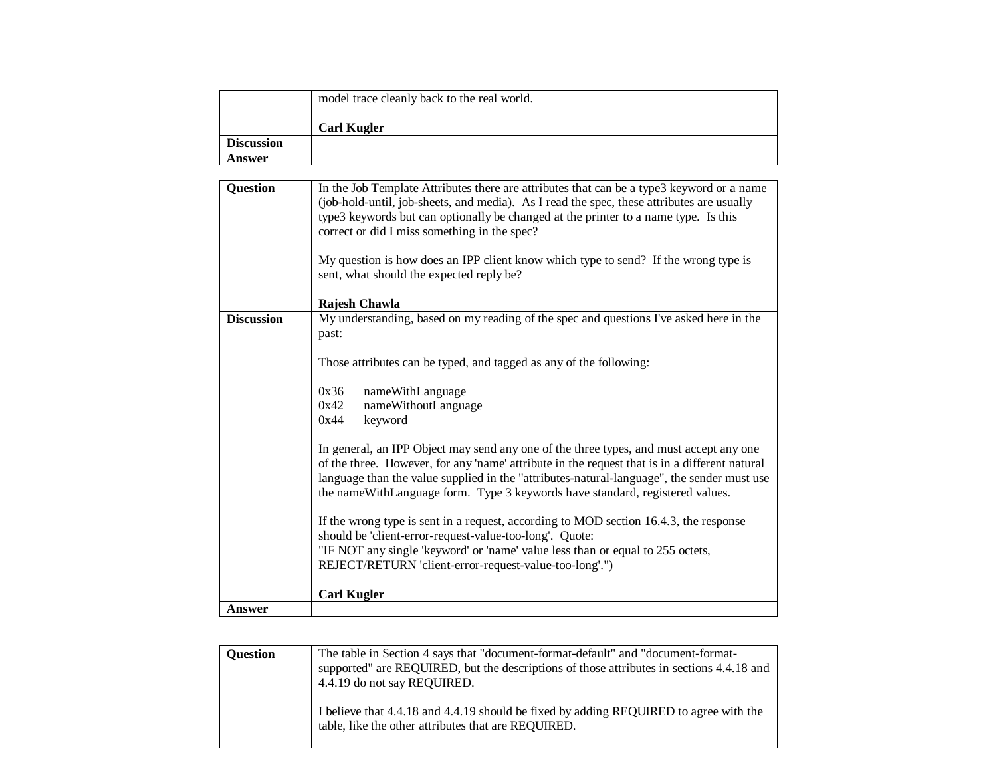|                   | model trace cleanly back to the real world. |
|-------------------|---------------------------------------------|
|                   | <b>Carl Kugler</b>                          |
| <b>Discussion</b> |                                             |
| Answer            |                                             |

| <b>Question</b>   | In the Job Template Attributes there are attributes that can be a type3 keyword or a name<br>(job-hold-until, job-sheets, and media). As I read the spec, these attributes are usually<br>type3 keywords but can optionally be changed at the printer to a name type. Is this<br>correct or did I miss something in the spec?                                         |
|-------------------|-----------------------------------------------------------------------------------------------------------------------------------------------------------------------------------------------------------------------------------------------------------------------------------------------------------------------------------------------------------------------|
|                   | My question is how does an IPP client know which type to send? If the wrong type is<br>sent, what should the expected reply be?                                                                                                                                                                                                                                       |
|                   | Rajesh Chawla                                                                                                                                                                                                                                                                                                                                                         |
| <b>Discussion</b> | My understanding, based on my reading of the spec and questions I've asked here in the<br>past:                                                                                                                                                                                                                                                                       |
|                   | Those attributes can be typed, and tagged as any of the following:                                                                                                                                                                                                                                                                                                    |
|                   | 0x36<br>nameWithLanguage<br>0x42<br>nameWithoutLanguage<br>keyword<br>0x44                                                                                                                                                                                                                                                                                            |
|                   | In general, an IPP Object may send any one of the three types, and must accept any one<br>of the three. However, for any 'name' attribute in the request that is in a different natural<br>language than the value supplied in the "attributes-natural-language", the sender must use<br>the nameWithLanguage form. Type 3 keywords have standard, registered values. |
|                   | If the wrong type is sent in a request, according to MOD section 16.4.3, the response<br>should be 'client-error-request-value-too-long'. Quote:                                                                                                                                                                                                                      |
|                   | "IF NOT any single 'keyword' or 'name' value less than or equal to 255 octets,<br>REJECT/RETURN 'client-error-request-value-too-long'.")                                                                                                                                                                                                                              |
|                   | <b>Carl Kugler</b>                                                                                                                                                                                                                                                                                                                                                    |
| Answer            |                                                                                                                                                                                                                                                                                                                                                                       |

| <b>Ouestion</b> | The table in Section 4 says that "document-format-default" and "document-format-<br>supported" are REQUIRED, but the descriptions of those attributes in sections 4.4.18 and<br>4.4.19 do not say REQUIRED. |
|-----------------|-------------------------------------------------------------------------------------------------------------------------------------------------------------------------------------------------------------|
|                 | I believe that 4.4.18 and 4.4.19 should be fixed by adding REQUIRED to agree with the<br>table, like the other attributes that are REQUIRED.                                                                |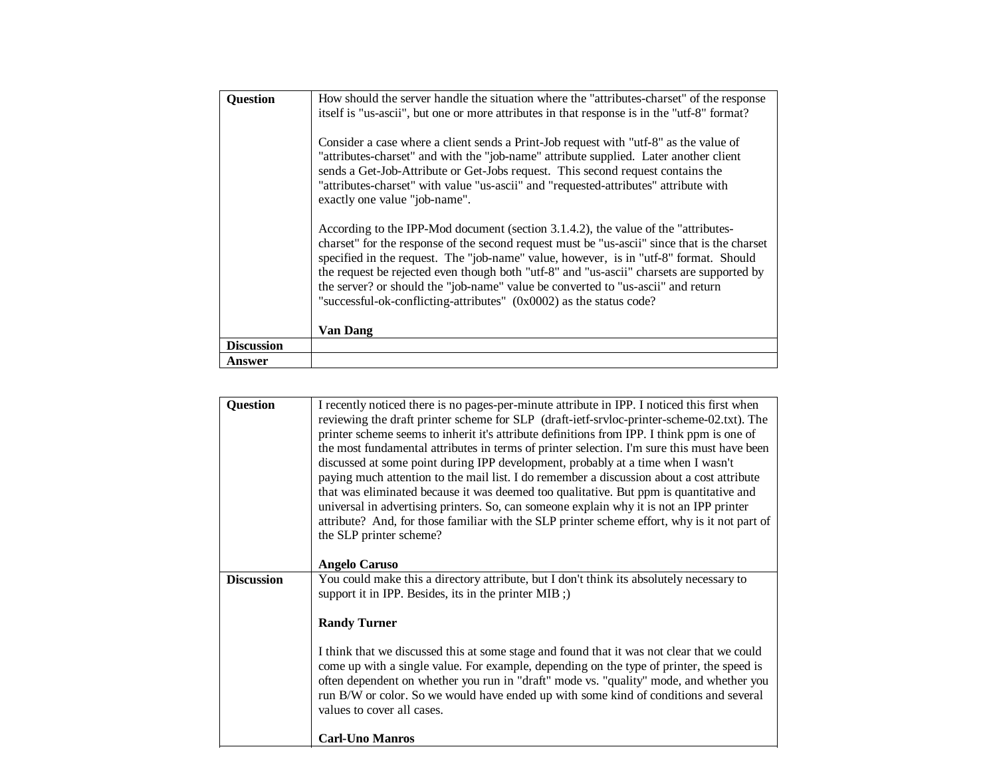| <b>Question</b>   | How should the server handle the situation where the "attributes-charset" of the response<br>itself is "us-ascii", but one or more attributes in that response is in the "utf-8" format?<br>Consider a case where a client sends a Print-Job request with "utf-8" as the value of<br>"attributes-charset" and with the "job-name" attribute supplied. Later another client<br>sends a Get-Job-Attribute or Get-Jobs request. This second request contains the<br>"attributes-charset" with value "us-ascii" and "requested-attributes" attribute with<br>exactly one value "job-name".<br>According to the IPP-Mod document (section 3.1.4.2), the value of the "attributes-<br>charset" for the response of the second request must be "us-ascii" since that is the charset<br>specified in the request. The "job-name" value, however, is in "utf-8" format. Should<br>the request be rejected even though both "utf-8" and "us-ascii" charsets are supported by<br>the server? or should the "job-name" value be converted to "us-ascii" and return<br>"successful-ok-conflicting-attributes" (0x0002) as the status code?<br><b>Van Dang</b> |
|-------------------|--------------------------------------------------------------------------------------------------------------------------------------------------------------------------------------------------------------------------------------------------------------------------------------------------------------------------------------------------------------------------------------------------------------------------------------------------------------------------------------------------------------------------------------------------------------------------------------------------------------------------------------------------------------------------------------------------------------------------------------------------------------------------------------------------------------------------------------------------------------------------------------------------------------------------------------------------------------------------------------------------------------------------------------------------------------------------------------------------------------------------------------------------|
| <b>Discussion</b> |                                                                                                                                                                                                                                                                                                                                                                                                                                                                                                                                                                                                                                                                                                                                                                                                                                                                                                                                                                                                                                                                                                                                                  |
| Answer            |                                                                                                                                                                                                                                                                                                                                                                                                                                                                                                                                                                                                                                                                                                                                                                                                                                                                                                                                                                                                                                                                                                                                                  |

| <b>Question</b>   | I recently noticed there is no pages-per-minute attribute in IPP. I noticed this first when<br>reviewing the draft printer scheme for SLP (draft-ietf-srvloc-printer-scheme-02.txt). The<br>printer scheme seems to inherit it's attribute definitions from IPP. I think ppm is one of<br>the most fundamental attributes in terms of printer selection. I'm sure this must have been<br>discussed at some point during IPP development, probably at a time when I wasn't<br>paying much attention to the mail list. I do remember a discussion about a cost attribute<br>that was eliminated because it was deemed too qualitative. But ppm is quantitative and<br>universal in advertising printers. So, can someone explain why it is not an IPP printer<br>attribute? And, for those familiar with the SLP printer scheme effort, why is it not part of<br>the SLP printer scheme?<br><b>Angelo Caruso</b> |
|-------------------|----------------------------------------------------------------------------------------------------------------------------------------------------------------------------------------------------------------------------------------------------------------------------------------------------------------------------------------------------------------------------------------------------------------------------------------------------------------------------------------------------------------------------------------------------------------------------------------------------------------------------------------------------------------------------------------------------------------------------------------------------------------------------------------------------------------------------------------------------------------------------------------------------------------|
| <b>Discussion</b> | You could make this a directory attribute, but I don't think its absolutely necessary to                                                                                                                                                                                                                                                                                                                                                                                                                                                                                                                                                                                                                                                                                                                                                                                                                       |
|                   |                                                                                                                                                                                                                                                                                                                                                                                                                                                                                                                                                                                                                                                                                                                                                                                                                                                                                                                |
|                   | support it in IPP. Besides, its in the printer MIB;                                                                                                                                                                                                                                                                                                                                                                                                                                                                                                                                                                                                                                                                                                                                                                                                                                                            |
|                   |                                                                                                                                                                                                                                                                                                                                                                                                                                                                                                                                                                                                                                                                                                                                                                                                                                                                                                                |
|                   | <b>Randy Turner</b>                                                                                                                                                                                                                                                                                                                                                                                                                                                                                                                                                                                                                                                                                                                                                                                                                                                                                            |
|                   |                                                                                                                                                                                                                                                                                                                                                                                                                                                                                                                                                                                                                                                                                                                                                                                                                                                                                                                |
|                   | I think that we discussed this at some stage and found that it was not clear that we could<br>come up with a single value. For example, depending on the type of printer, the speed is<br>often dependent on whether you run in "draft" mode vs. "quality" mode, and whether you<br>run B/W or color. So we would have ended up with some kind of conditions and several<br>values to cover all cases.                                                                                                                                                                                                                                                                                                                                                                                                                                                                                                         |
|                   | Carl-Uno Manros                                                                                                                                                                                                                                                                                                                                                                                                                                                                                                                                                                                                                                                                                                                                                                                                                                                                                                |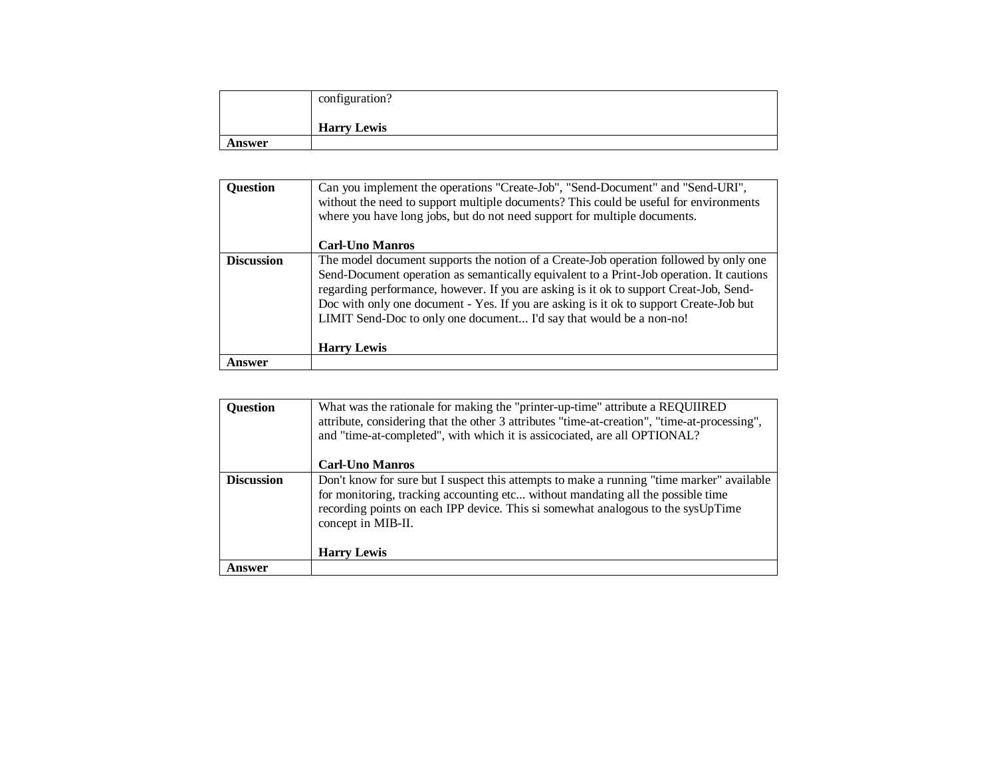|        | configuration?     |
|--------|--------------------|
|        | <b>Harry Lewis</b> |
| Answer |                    |

| <b>Question</b>   | Can you implement the operations "Create-Job", "Send-Document" and "Send-URI",<br>without the need to support multiple documents? This could be useful for environments<br>where you have long jobs, but do not need support for multiple documents.<br><b>Carl-Uno Manros</b>                                                                                                                                                                                     |
|-------------------|--------------------------------------------------------------------------------------------------------------------------------------------------------------------------------------------------------------------------------------------------------------------------------------------------------------------------------------------------------------------------------------------------------------------------------------------------------------------|
| <b>Discussion</b> | The model document supports the notion of a Create-Job operation followed by only one<br>Send-Document operation as semantically equivalent to a Print-Job operation. It cautions<br>regarding performance, however. If you are asking is it ok to support Creat-Job, Send-<br>Doc with only one document - Yes. If you are asking is it ok to support Create-Job but<br>LIMIT Send-Doc to only one document I'd say that would be a non-no!<br><b>Harry Lewis</b> |
| Answer            |                                                                                                                                                                                                                                                                                                                                                                                                                                                                    |

| <b>Question</b>   | What was the rationale for making the "printer-up-time" attribute a REQUIIRED<br>attribute, considering that the other 3 attributes "time-at-creation", "time-at-processing",<br>and "time-at-completed", with which it is assicociated, are all OPTIONAL?                             |
|-------------------|----------------------------------------------------------------------------------------------------------------------------------------------------------------------------------------------------------------------------------------------------------------------------------------|
|                   | <b>Carl-Uno Manros</b>                                                                                                                                                                                                                                                                 |
| <b>Discussion</b> | Don't know for sure but I suspect this attempts to make a running "time marker" available<br>for monitoring, tracking accounting etc without mandating all the possible time<br>recording points on each IPP device. This si somewhat analogous to the sysUpTime<br>concept in MIB-II. |
|                   | <b>Harry Lewis</b>                                                                                                                                                                                                                                                                     |
| Answer            |                                                                                                                                                                                                                                                                                        |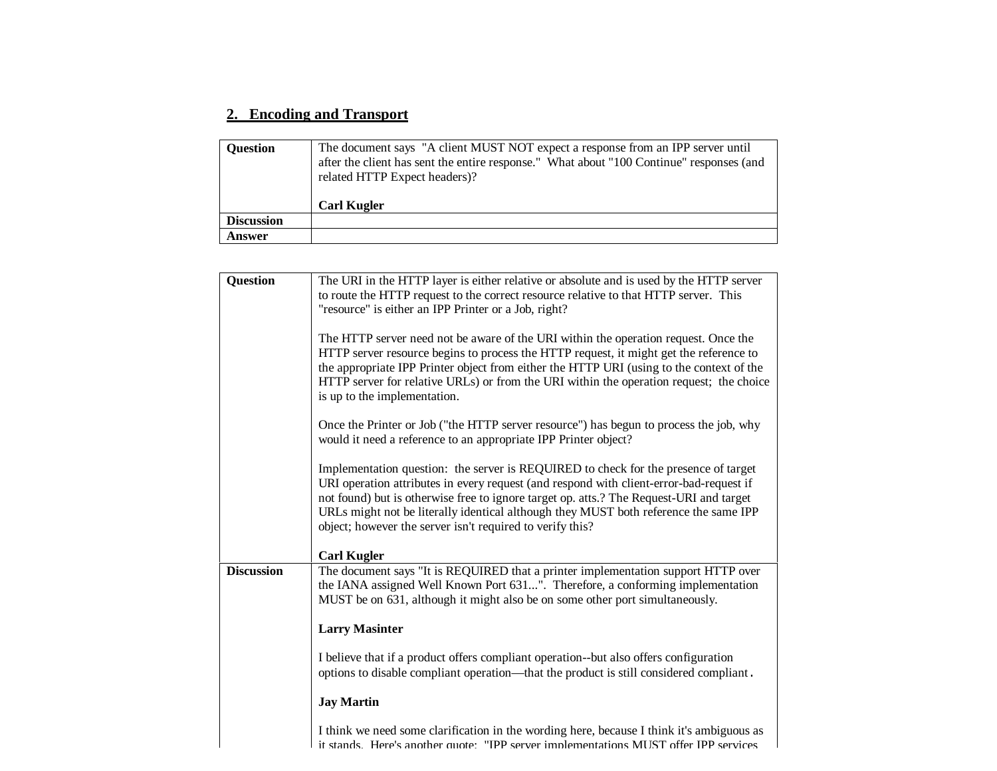# **2. Encoding and Transport**

| <b>Ouestion</b>   | The document says "A client MUST NOT expect a response from an IPP server until<br>after the client has sent the entire response." What about "100 Continue" responses (and<br>related HTTP Expect headers)? |
|-------------------|--------------------------------------------------------------------------------------------------------------------------------------------------------------------------------------------------------------|
|                   | <b>Carl Kugler</b>                                                                                                                                                                                           |
| <b>Discussion</b> |                                                                                                                                                                                                              |
| Answer            |                                                                                                                                                                                                              |

| <b>Question</b>   | The URI in the HTTP layer is either relative or absolute and is used by the HTTP server<br>to route the HTTP request to the correct resource relative to that HTTP server. This<br>"resource" is either an IPP Printer or a Job, right?                                                                                                                                                                                        |
|-------------------|--------------------------------------------------------------------------------------------------------------------------------------------------------------------------------------------------------------------------------------------------------------------------------------------------------------------------------------------------------------------------------------------------------------------------------|
|                   | The HTTP server need not be aware of the URI within the operation request. Once the<br>HTTP server resource begins to process the HTTP request, it might get the reference to<br>the appropriate IPP Printer object from either the HTTP URI (using to the context of the<br>HTTP server for relative URLs) or from the URI within the operation request; the choice<br>is up to the implementation.                           |
|                   | Once the Printer or Job ("the HTTP server resource") has begun to process the job, why<br>would it need a reference to an appropriate IPP Printer object?                                                                                                                                                                                                                                                                      |
|                   | Implementation question: the server is REQUIRED to check for the presence of target<br>URI operation attributes in every request (and respond with client-error-bad-request if<br>not found) but is otherwise free to ignore target op. atts.? The Request-URI and target<br>URLs might not be literally identical although they MUST both reference the same IPP<br>object; however the server isn't required to verify this? |
|                   | <b>Carl Kugler</b>                                                                                                                                                                                                                                                                                                                                                                                                             |
| <b>Discussion</b> | The document says "It is REQUIRED that a printer implementation support HTTP over<br>the IANA assigned Well Known Port 631". Therefore, a conforming implementation<br>MUST be on 631, although it might also be on some other port simultaneously.                                                                                                                                                                            |
|                   | <b>Larry Masinter</b>                                                                                                                                                                                                                                                                                                                                                                                                          |
|                   | I believe that if a product offers compliant operation--but also offers configuration<br>options to disable compliant operation—that the product is still considered compliant.                                                                                                                                                                                                                                                |
|                   | <b>Jay Martin</b>                                                                                                                                                                                                                                                                                                                                                                                                              |
|                   | I think we need some clarification in the wording here, because I think it's ambiguous as<br>it stands Here's another quote: "IPP server implementations MUST offer IPP services                                                                                                                                                                                                                                               |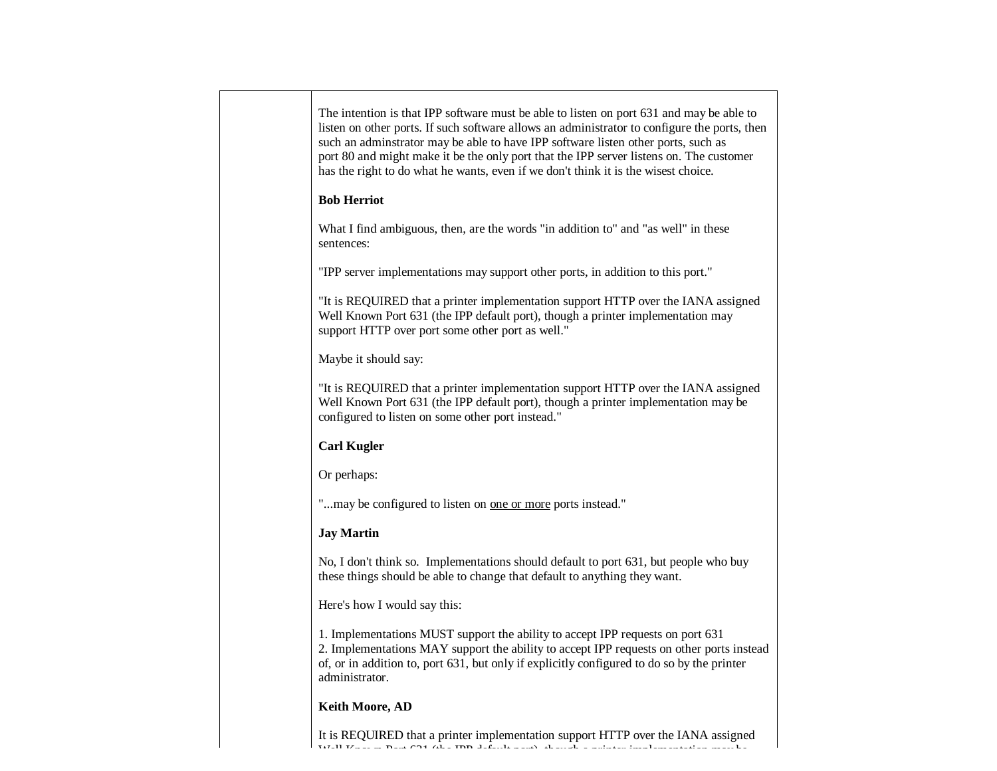| The intention is that IPP software must be able to listen on port 631 and may be able to<br>listen on other ports. If such software allows an administrator to configure the ports, then<br>such an adminstrator may be able to have IPP software listen other ports, such as<br>port 80 and might make it be the only port that the IPP server listens on. The customer<br>has the right to do what he wants, even if we don't think it is the wisest choice. |
|----------------------------------------------------------------------------------------------------------------------------------------------------------------------------------------------------------------------------------------------------------------------------------------------------------------------------------------------------------------------------------------------------------------------------------------------------------------|
| <b>Bob Herriot</b>                                                                                                                                                                                                                                                                                                                                                                                                                                             |
| What I find ambiguous, then, are the words "in addition to" and "as well" in these<br>sentences:                                                                                                                                                                                                                                                                                                                                                               |
| "IPP server implementations may support other ports, in addition to this port."                                                                                                                                                                                                                                                                                                                                                                                |
| "It is REQUIRED that a printer implementation support HTTP over the IANA assigned<br>Well Known Port 631 (the IPP default port), though a printer implementation may<br>support HTTP over port some other port as well."                                                                                                                                                                                                                                       |
| Maybe it should say:                                                                                                                                                                                                                                                                                                                                                                                                                                           |
| "It is REQUIRED that a printer implementation support HTTP over the IANA assigned<br>Well Known Port 631 (the IPP default port), though a printer implementation may be<br>configured to listen on some other port instead."                                                                                                                                                                                                                                   |
| <b>Carl Kugler</b>                                                                                                                                                                                                                                                                                                                                                                                                                                             |
| Or perhaps:                                                                                                                                                                                                                                                                                                                                                                                                                                                    |
| "may be configured to listen on one or more ports instead."                                                                                                                                                                                                                                                                                                                                                                                                    |
| <b>Jay Martin</b>                                                                                                                                                                                                                                                                                                                                                                                                                                              |
| No, I don't think so. Implementations should default to port 631, but people who buy<br>these things should be able to change that default to anything they want.                                                                                                                                                                                                                                                                                              |
| Here's how I would say this:                                                                                                                                                                                                                                                                                                                                                                                                                                   |
| 1. Implementations MUST support the ability to accept IPP requests on port 631<br>2. Implementations MAY support the ability to accept IPP requests on other ports instead<br>of, or in addition to, port 631, but only if explicitly configured to do so by the printer<br>administrator.                                                                                                                                                                     |
| <b>Keith Moore, AD</b>                                                                                                                                                                                                                                                                                                                                                                                                                                         |

It is REQUIRED that a printer implementation support HTTP over the IANA assigned We then  $P$  is  $\mathcal{L}$  and  $\mathcal{L}$  at printer implementation may be printed implementation may be printed in printer in printer in  $P$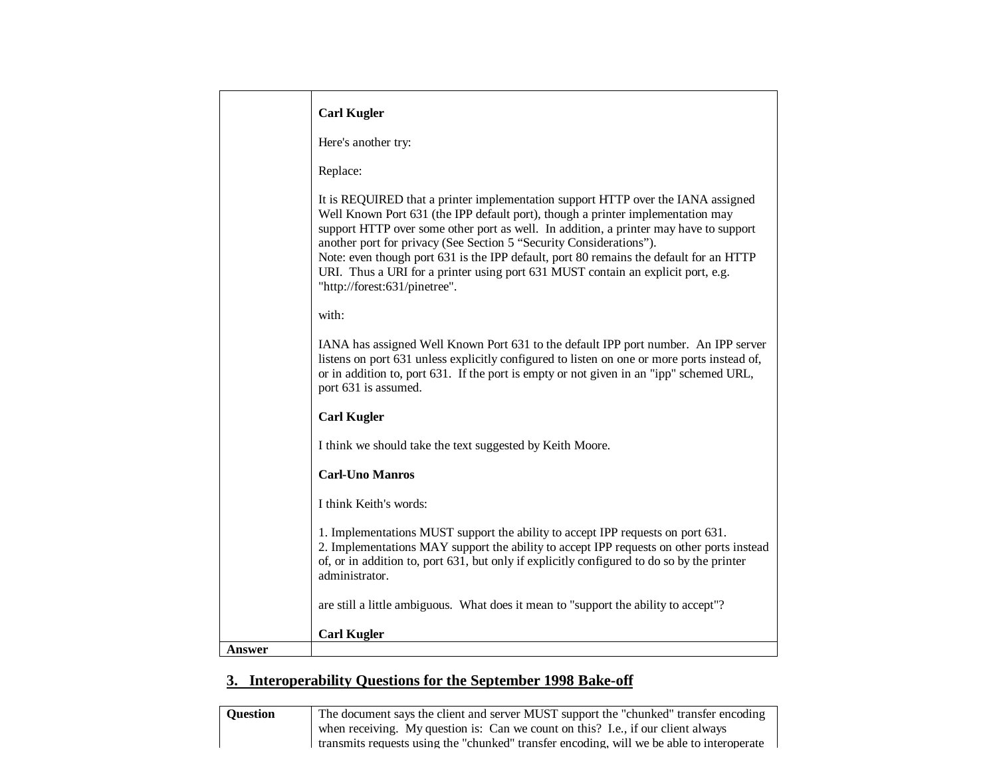|        | <b>Carl Kugler</b>                                                                                                                                                                                                                                                                                                                                                                                                                                                                                                                                 |
|--------|----------------------------------------------------------------------------------------------------------------------------------------------------------------------------------------------------------------------------------------------------------------------------------------------------------------------------------------------------------------------------------------------------------------------------------------------------------------------------------------------------------------------------------------------------|
|        | Here's another try:                                                                                                                                                                                                                                                                                                                                                                                                                                                                                                                                |
|        | Replace:                                                                                                                                                                                                                                                                                                                                                                                                                                                                                                                                           |
|        | It is REQUIRED that a printer implementation support HTTP over the IANA assigned<br>Well Known Port 631 (the IPP default port), though a printer implementation may<br>support HTTP over some other port as well. In addition, a printer may have to support<br>another port for privacy (See Section 5 "Security Considerations").<br>Note: even though port 631 is the IPP default, port 80 remains the default for an HTTP<br>URI. Thus a URI for a printer using port 631 MUST contain an explicit port, e.g.<br>"http://forest:631/pinetree". |
|        | with:                                                                                                                                                                                                                                                                                                                                                                                                                                                                                                                                              |
|        | IANA has assigned Well Known Port 631 to the default IPP port number. An IPP server<br>listens on port 631 unless explicitly configured to listen on one or more ports instead of,<br>or in addition to, port 631. If the port is empty or not given in an "ipp" schemed URL,<br>port 631 is assumed.                                                                                                                                                                                                                                              |
|        | <b>Carl Kugler</b>                                                                                                                                                                                                                                                                                                                                                                                                                                                                                                                                 |
|        | I think we should take the text suggested by Keith Moore.                                                                                                                                                                                                                                                                                                                                                                                                                                                                                          |
|        | <b>Carl-Uno Manros</b>                                                                                                                                                                                                                                                                                                                                                                                                                                                                                                                             |
|        | I think Keith's words:                                                                                                                                                                                                                                                                                                                                                                                                                                                                                                                             |
|        | 1. Implementations MUST support the ability to accept IPP requests on port 631.<br>2. Implementations MAY support the ability to accept IPP requests on other ports instead<br>of, or in addition to, port 631, but only if explicitly configured to do so by the printer<br>administrator.                                                                                                                                                                                                                                                        |
|        | are still a little ambiguous. What does it mean to "support the ability to accept"?                                                                                                                                                                                                                                                                                                                                                                                                                                                                |
|        | <b>Carl Kugler</b>                                                                                                                                                                                                                                                                                                                                                                                                                                                                                                                                 |
| Answer |                                                                                                                                                                                                                                                                                                                                                                                                                                                                                                                                                    |

# **3. Interoperability Questions for the September 1998 Bake-off**

| <b>Ouestion</b> | The document says the client and server MUST support the "chunked" transfer encoding      |
|-----------------|-------------------------------------------------------------------------------------------|
|                 | when receiving. My question is: Can we count on this? I.e., if our client always          |
|                 | transmits requests using the "chunked" transfer encoding, will we be able to interoperate |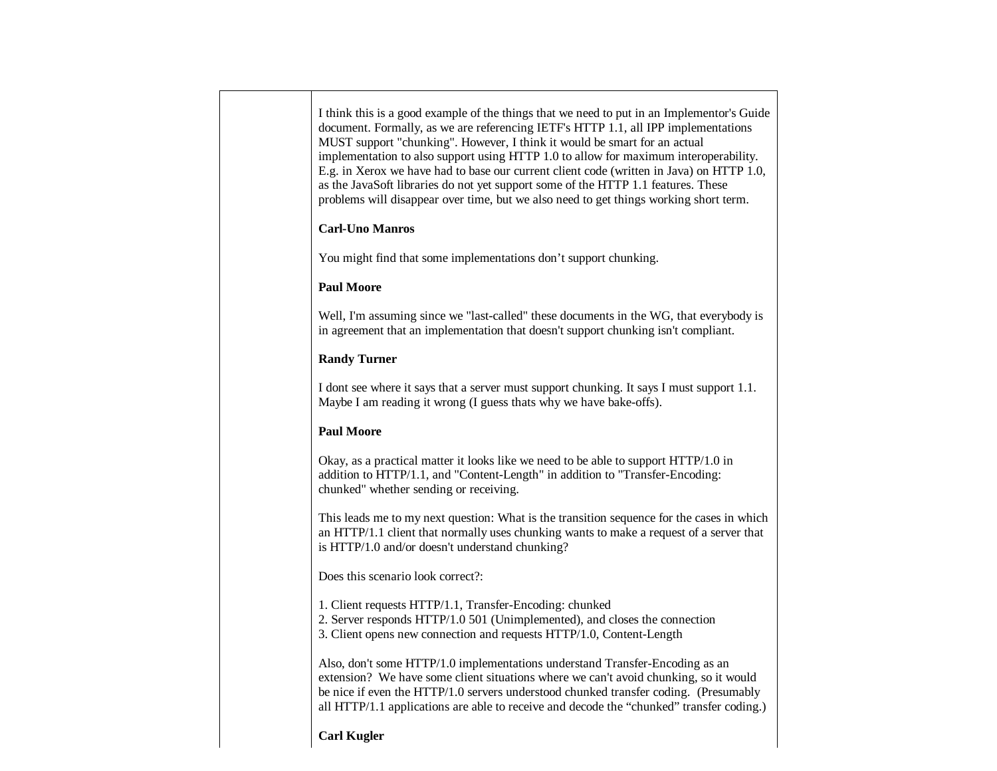I think this is a good example of the things that we need to put in an Implementor's Guide document. Formally, as we are referencing IETF's HTTP 1.1, all IPP implementations MUST support "chunking". However, I think it would be smart for an actual implementation to also support using HTTP 1.0 to allow for maximum interoperability. E.g. in Xerox we have had to base our current client code (written in Java) on HTTP 1.0, as the JavaSoft libraries do not yet support some of the HTTP 1.1 features. These problems will disappear over time, but we also need to get things working short term. **Carl-Uno Manros** You might find that some implementations don't support chunking. **Paul Moore** Well, I'm assuming since we "last-called" these documents in the WG, that everybody is in agreement that an implementation that doesn't support chunking isn't compliant. **Randy Turner** I dont see where it says that a server must support chunking. It says I must support 1.1. Maybe I am reading it wrong (I guess thats why we have bake-offs). **Paul Moore** Okay, as a practical matter it looks like we need to be able to support HTTP/1.0 in addition to HTTP/1.1, and "Content-Length" in addition to "Transfer-Encoding: chunked" whether sending or receiving. This leads me to my next question: What is the transition sequence for the cases in which an HTTP/1.1 client that normally uses chunking wants to make a request of a server that is HTTP/1.0 and/or doesn't understand chunking? Does this scenario look correct?: 1. Client requests HTTP/1.1, Transfer-Encoding: chunked 2. Server responds HTTP/1.0 501 (Unimplemented), and closes the connection 3. Client opens new connection and requests HTTP/1.0, Content-Length Also, don't some HTTP/1.0 implementations understand Transfer-Encoding as an extension? We have some client situations where we can't avoid chunking, so it would be nice if even the HTTP/1.0 servers understood chunked transfer coding. (Presumably all HTTP/1.1 applications are able to receive and decode the "chunked" transfer coding.) **Carl Kugler**